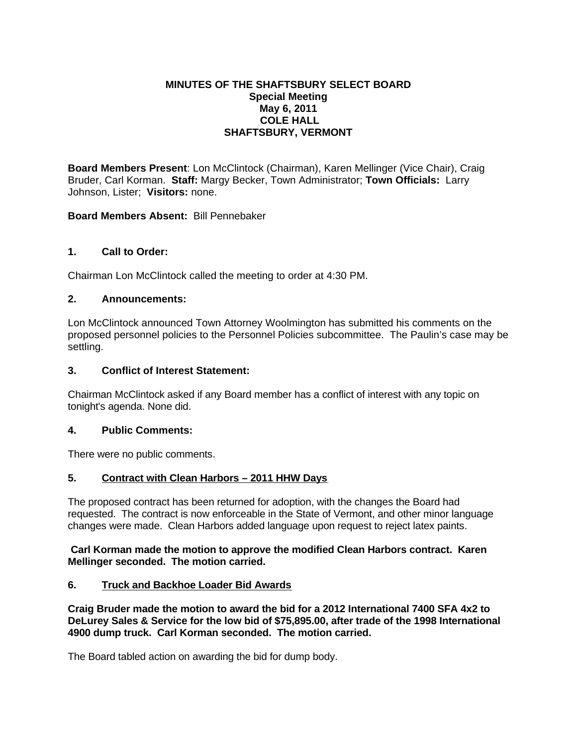# **MINUTES OF THE SHAFTSBURY SELECT BOARD Special Meeting May 6, 2011 COLE HALL SHAFTSBURY, VERMONT**

**Board Members Present**: Lon McClintock (Chairman), Karen Mellinger (Vice Chair), Craig Bruder, Carl Korman. **Staff:** Margy Becker, Town Administrator; **Town Officials:** Larry Johnson, Lister; **Visitors:** none.

# **Board Members Absent:** Bill Pennebaker

### **1. Call to Order:**

Chairman Lon McClintock called the meeting to order at 4:30 PM.

### **2. Announcements:**

Lon McClintock announced Town Attorney Woolmington has submitted his comments on the proposed personnel policies to the Personnel Policies subcommittee. The Paulin's case may be settling.

### **3. Conflict of Interest Statement:**

Chairman McClintock asked if any Board member has a conflict of interest with any topic on tonight's agenda. None did.

#### **4. Public Comments:**

There were no public comments.

# **5. Contract with Clean Harbors – 2011 HHW Days**

The proposed contract has been returned for adoption, with the changes the Board had requested. The contract is now enforceable in the State of Vermont, and other minor language changes were made. Clean Harbors added language upon request to reject latex paints.

### **Carl Korman made the motion to approve the modified Clean Harbors contract. Karen Mellinger seconded. The motion carried.**

# **6. Truck and Backhoe Loader Bid Awards**

**Craig Bruder made the motion to award the bid for a 2012 International 7400 SFA 4x2 to DeLurey Sales & Service for the low bid of \$75,895.00, after trade of the 1998 International 4900 dump truck. Carl Korman seconded. The motion carried.**

The Board tabled action on awarding the bid for dump body.